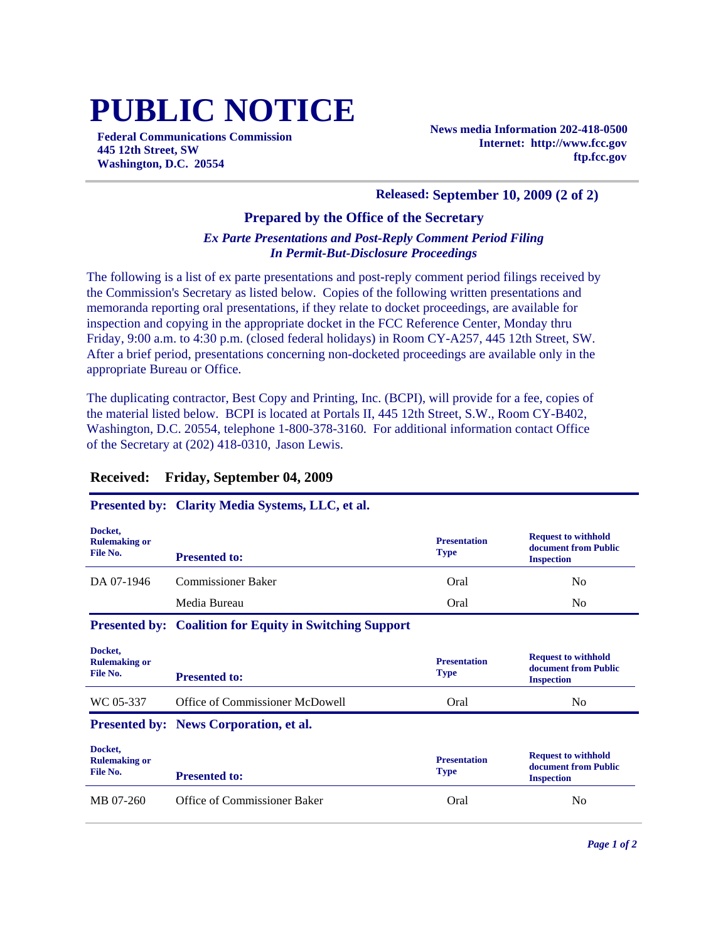# **PUBLIC NOTICE**

**Federal Communications Commission 445 12th Street, SW Washington, D.C. 20554**

**News media Information 202-418-0500 Internet: http://www.fcc.gov ftp.fcc.gov**

#### **Released: September 10, 2009 (2 of 2)**

### **Prepared by the Office of the Secretary**

#### *Ex Parte Presentations and Post-Reply Comment Period Filing In Permit-But-Disclosure Proceedings*

The following is a list of ex parte presentations and post-reply comment period filings received by the Commission's Secretary as listed below. Copies of the following written presentations and memoranda reporting oral presentations, if they relate to docket proceedings, are available for inspection and copying in the appropriate docket in the FCC Reference Center, Monday thru Friday, 9:00 a.m. to 4:30 p.m. (closed federal holidays) in Room CY-A257, 445 12th Street, SW. After a brief period, presentations concerning non-docketed proceedings are available only in the appropriate Bureau or Office.

The duplicating contractor, Best Copy and Printing, Inc. (BCPI), will provide for a fee, copies of the material listed below. BCPI is located at Portals II, 445 12th Street, S.W., Room CY-B402, Washington, D.C. 20554, telephone 1-800-378-3160. For additional information contact Office of the Secretary at (202) 418-0310, Jason Lewis.

## **Received: Friday, September 04, 2009**

#### **Presented by: Clarity Media Systems, LLC, et al.**

| Docket,<br><b>Rulemaking or</b><br>File No. | <b>Presented to:</b>                                           | <b>Presentation</b><br><b>Type</b> | <b>Request to withhold</b><br>document from Public<br><b>Inspection</b> |
|---------------------------------------------|----------------------------------------------------------------|------------------------------------|-------------------------------------------------------------------------|
| DA 07-1946                                  | <b>Commissioner Baker</b>                                      | Oral                               | No.                                                                     |
|                                             | Media Bureau                                                   | Oral                               | No.                                                                     |
|                                             | <b>Presented by: Coalition for Equity in Switching Support</b> |                                    |                                                                         |
| Docket,<br><b>Rulemaking or</b><br>File No. | <b>Presented to:</b>                                           | <b>Presentation</b><br><b>Type</b> | <b>Request to withhold</b><br>document from Public<br><b>Inspection</b> |
| WC 05-337                                   | Office of Commissioner McDowell                                | Oral                               | N <sub>0</sub>                                                          |
|                                             | Presented by: News Corporation, et al.                         |                                    |                                                                         |
| Docket,<br><b>Rulemaking or</b><br>File No. | <b>Presented to:</b>                                           | <b>Presentation</b><br><b>Type</b> | <b>Request to withhold</b><br>document from Public<br><b>Inspection</b> |
| MB 07-260                                   | Office of Commissioner Baker                                   | Oral                               | N <sub>0</sub>                                                          |